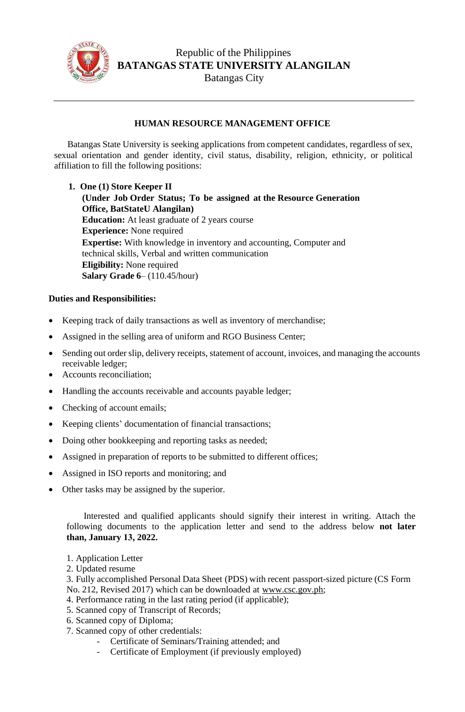

Republic of the Philippines **BATANGAS STATE UNIVERSITY ALANGILAN** Batangas City

## **HUMAN RESOURCE MANAGEMENT OFFICE**

Batangas State University is seeking applications from competent candidates, regardless of sex, sexual orientation and gender identity, civil status, disability, religion, ethnicity, or political affiliation to fill the following positions:

**1. One (1) Store Keeper II (Under Job Order Status; To be assigned at the Resource Generation Office, BatStateU Alangilan) Education:** At least graduate of 2 years course **Experience:** None required **Expertise:** With knowledge in inventory and accounting, Computer and technical skills, Verbal and written communication **Eligibility:** None required **Salary Grade 6**– (110.45/hour)

## **Duties and Responsibilities:**

- Keeping track of daily transactions as well as inventory of merchandise;
- Assigned in the selling area of uniform and RGO Business Center;
- Sending out order slip, delivery receipts, statement of account, invoices, and managing the accounts receivable ledger;
- Accounts reconciliation;
- Handling the accounts receivable and accounts payable ledger;
- Checking of account emails;
- Keeping clients' documentation of financial transactions;
- Doing other bookkeeping and reporting tasks as needed;
- Assigned in preparation of reports to be submitted to different offices;
- Assigned in ISO reports and monitoring; and
- Other tasks may be assigned by the superior.

Interested and qualified applicants should signify their interest in writing. Attach the following documents to the application letter and send to the address below **not later than, January 13, 2022.**

- 1. Application Letter
- 2. Updated resume
- 3. Fully accomplished Personal Data Sheet (PDS) with recent passport-sized picture (CS Form No. 212, Revised 2017) which can be downloaded at [www.csc.gov.ph;](http://www.csc.gov.ph/)
- 4. Performance rating in the last rating period (if applicable);
- 5. Scanned copy of Transcript of Records;
- 6. Scanned copy of Diploma;
- 7. Scanned copy of other credentials:
	- Certificate of Seminars/Training attended; and
	- Certificate of Employment (if previously employed)